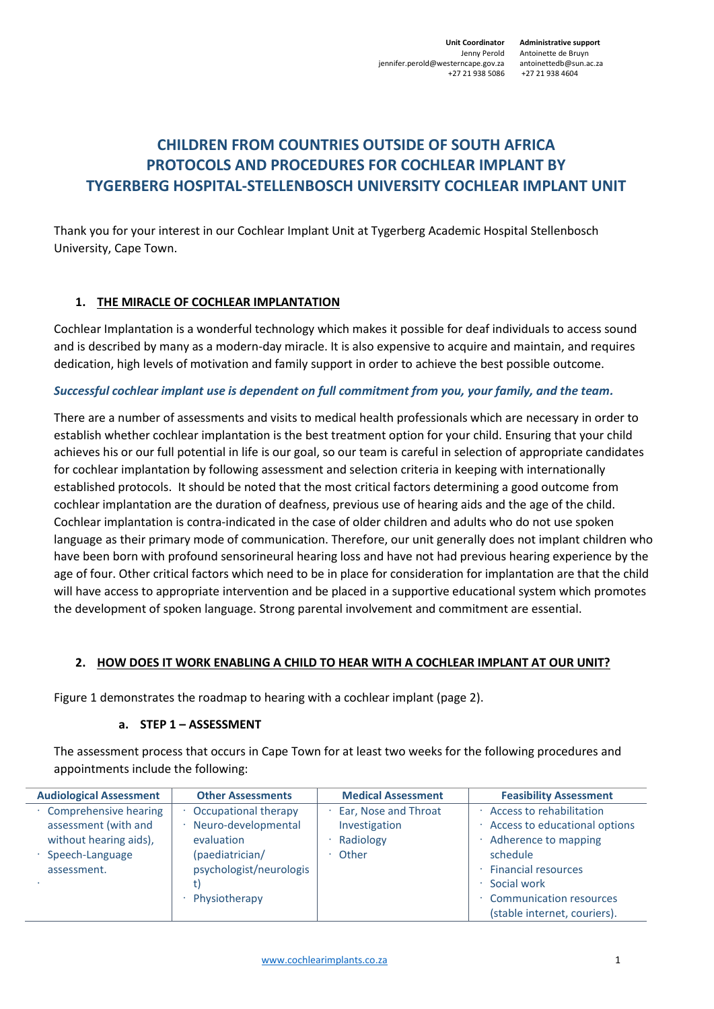**Administrative support** Antoinette de Bruyn +27 21 938 4604

# **CHILDREN FROM COUNTRIES OUTSIDE OF SOUTH AFRICA PROTOCOLS AND PROCEDURES FOR COCHLEAR IMPLANT BY TYGERBERG HOSPITAL-STELLENBOSCH UNIVERSITY COCHLEAR IMPLANT UNIT**

Thank you for your interest in our Cochlear Implant Unit at Tygerberg Academic Hospital Stellenbosch University, Cape Town.

## **1. THE MIRACLE OF COCHLEAR IMPLANTATION**

Cochlear Implantation is a wonderful technology which makes it possible for deaf individuals to access sound and is described by many as a modern-day miracle. It is also expensive to acquire and maintain, and requires dedication, high levels of motivation and family support in order to achieve the best possible outcome.

#### *Successful cochlear implant use is dependent on full commitment from you, your family, and the team.*

There are a number of assessments and visits to medical health professionals which are necessary in order to establish whether cochlear implantation is the best treatment option for your child. Ensuring that your child achieves his or our full potential in life is our goal, so our team is careful in selection of appropriate candidates for cochlear implantation by following assessment and selection criteria in keeping with internationally established protocols. It should be noted that the most critical factors determining a good outcome from cochlear implantation are the duration of deafness, previous use of hearing aids and the age of the child. Cochlear implantation is contra-indicated in the case of older children and adults who do not use spoken language as their primary mode of communication. Therefore, our unit generally does not implant children who have been born with profound sensorineural hearing loss and have not had previous hearing experience by the age of four. Other critical factors which need to be in place for consideration for implantation are that the child will have access to appropriate intervention and be placed in a supportive educational system which promotes the development of spoken language. Strong parental involvement and commitment are essential.

#### **2. HOW DOES IT WORK ENABLING A CHILD TO HEAR WITH A COCHLEAR IMPLANT AT OUR UNIT?**

Figure 1 demonstrates the roadmap to hearing with a cochlear implant (page 2).

#### **a. STEP 1 – ASSESSMENT**

The assessment process that occurs in Cape Town for at least two weeks for the following procedures and appointments include the following:

| <b>Audiological Assessment</b>                                                               | <b>Other Assessments</b>                                                     | <b>Medical Assessment</b>                                   | <b>Feasibility Assessment</b>                                                                               |
|----------------------------------------------------------------------------------------------|------------------------------------------------------------------------------|-------------------------------------------------------------|-------------------------------------------------------------------------------------------------------------|
| · Comprehensive hearing<br>assessment (with and<br>without hearing aids),<br>Speech-Language | Occupational therapy<br>Neuro-developmental<br>evaluation<br>(paediatrician/ | Ear, Nose and Throat<br>Investigation<br>Radiology<br>Other | Access to rehabilitation<br>Access to educational options<br>Adherence to mapping<br>schedule               |
| assessment.                                                                                  | psychologist/neurologis<br>Physiotherapy                                     |                                                             | <b>Financial resources</b><br>Social work<br><b>Communication resources</b><br>(stable internet, couriers). |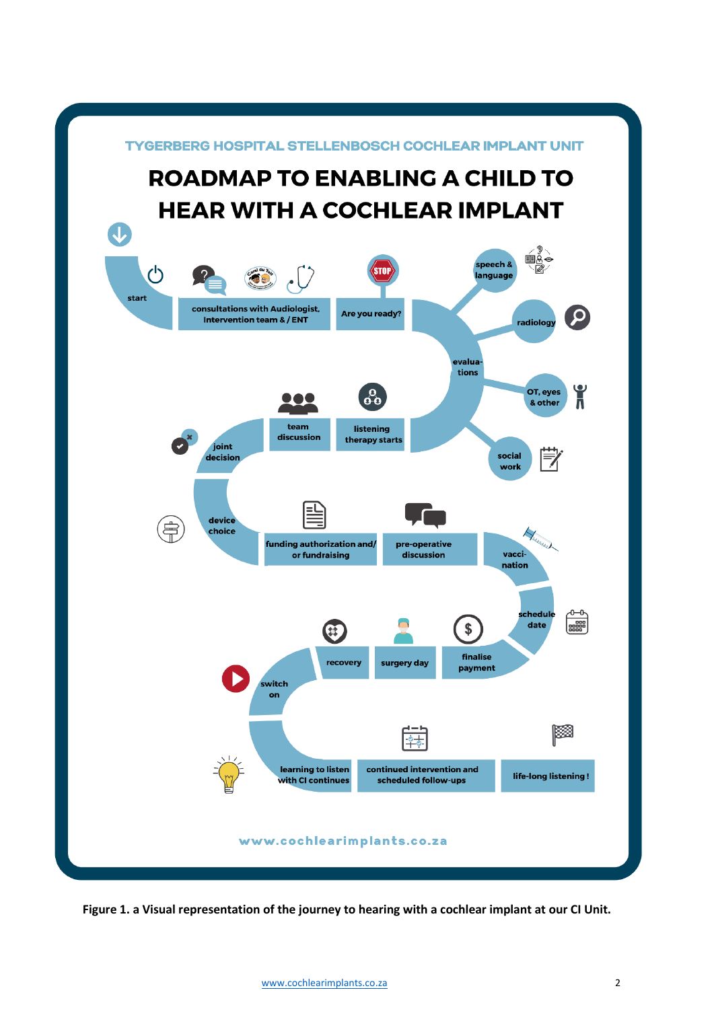

**Figure 1. a Visual representation of the journey to hearing with a cochlear implant at our CI Unit.**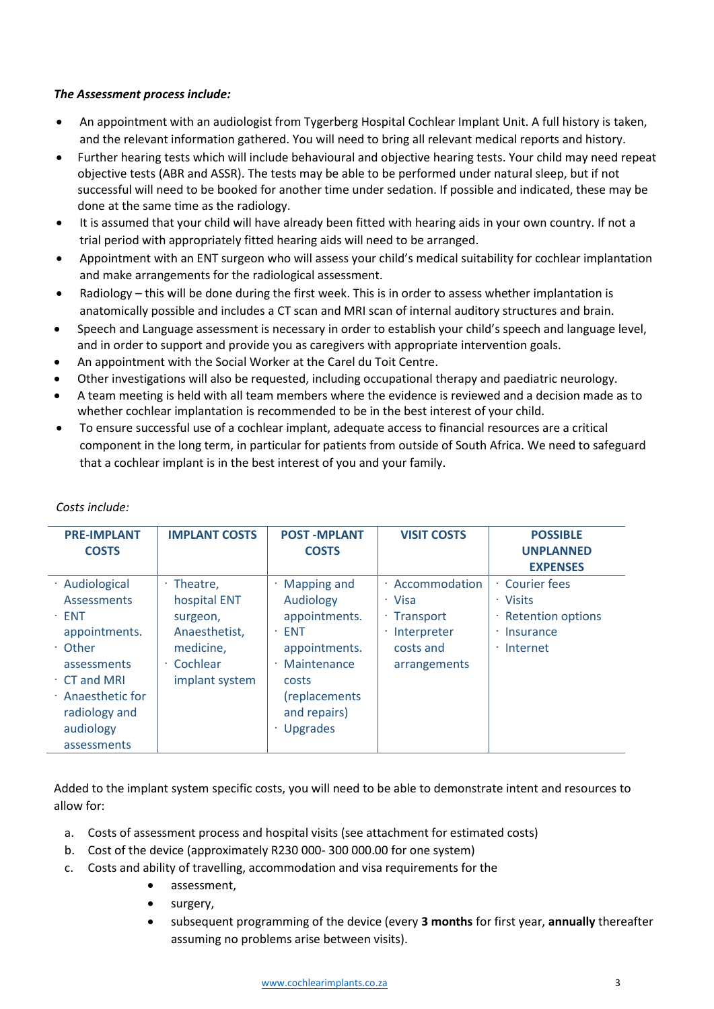#### *The Assessment process include:*

- An appointment with an audiologist from Tygerberg Hospital Cochlear Implant Unit. A full history is taken, and the relevant information gathered. You will need to bring all relevant medical reports and history.
- Further hearing tests which will include behavioural and objective hearing tests. Your child may need repeat objective tests (ABR and ASSR). The tests may be able to be performed under natural sleep, but if not successful will need to be booked for another time under sedation. If possible and indicated, these may be done at the same time as the radiology.
- It is assumed that your child will have already been fitted with hearing aids in your own country. If not a trial period with appropriately fitted hearing aids will need to be arranged.
- Appointment with an ENT surgeon who will assess your child's medical suitability for cochlear implantation and make arrangements for the radiological assessment.
- Radiology this will be done during the first week. This is in order to assess whether implantation is anatomically possible and includes a CT scan and MRI scan of internal auditory structures and brain.
- Speech and Language assessment is necessary in order to establish your child's speech and language level, and in order to support and provide you as caregivers with appropriate intervention goals.
- An appointment with the Social Worker at the Carel du Toit Centre.
- Other investigations will also be requested, including occupational therapy and paediatric neurology.
- A team meeting is held with all team members where the evidence is reviewed and a decision made as to whether cochlear implantation is recommended to be in the best interest of your child.
- To ensure successful use of a cochlear implant, adequate access to financial resources are a critical component in the long term, in particular for patients from outside of South Africa. We need to safeguard that a cochlear implant is in the best interest of you and your family.

| <b>PRE-IMPLANT</b>                                                                                   | <b>IMPLANT COSTS</b>                                                                   | <b>POST-MPLANT</b>                                                                                  | <b>VISIT COSTS</b>                                                                    | <b>POSSIBLE</b>                                                                  |
|------------------------------------------------------------------------------------------------------|----------------------------------------------------------------------------------------|-----------------------------------------------------------------------------------------------------|---------------------------------------------------------------------------------------|----------------------------------------------------------------------------------|
| <b>COSTS</b>                                                                                         |                                                                                        | <b>COSTS</b>                                                                                        |                                                                                       | <b>UNPLANNED</b>                                                                 |
|                                                                                                      |                                                                                        |                                                                                                     |                                                                                       | <b>EXPENSES</b>                                                                  |
| · Audiological<br><b>Assessments</b><br>$\cdot$ ENT<br>appointments.<br>$\cdot$ Other<br>assessments | $\cdot$ Theatre.<br>hospital ENT<br>surgeon,<br>Anaesthetist,<br>medicine,<br>Cochlear | <b>Mapping and</b><br>Audiology<br>appointments.<br><b>ENT</b><br>×<br>appointments.<br>Maintenance | Accommodation<br>٠<br>· Visa<br>Transport<br>Interpreter<br>costs and<br>arrangements | Courier fees<br>· Visits<br>· Retention options<br>Insurance<br>$\cdot$ Internet |
| $\cdot$ CT and MRI<br>$\cdot$ Anaesthetic for<br>radiology and<br>audiology<br>assessments           | implant system                                                                         | costs<br>(replacements<br>and repairs)<br><b>Upgrades</b>                                           |                                                                                       |                                                                                  |

#### *Costs include:*

Added to the implant system specific costs, you will need to be able to demonstrate intent and resources to allow for:

- a. Costs of assessment process and hospital visits (see attachment for estimated costs)
- b. Cost of the device (approximately R230 000- 300 000.00 for one system)
- c. Costs and ability of travelling, accommodation and visa requirements for the
	- assessment.
	- surgery.
	- subsequent programming of the device (every **3 months** for first year, **annually** thereafter assuming no problems arise between visits).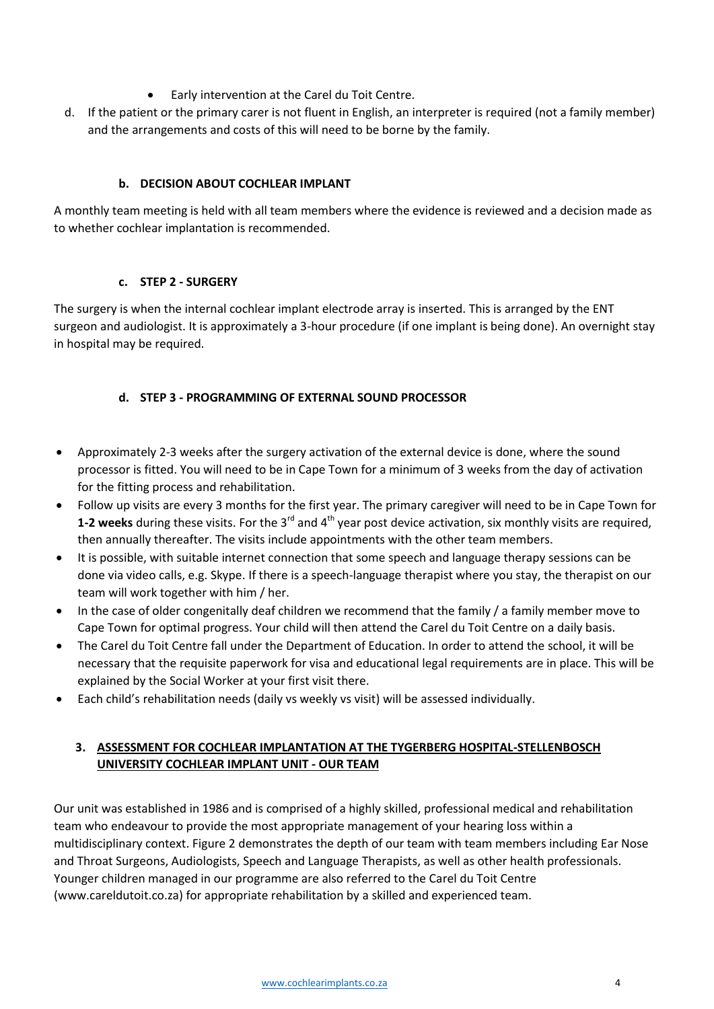- Early intervention at the Carel du Toit Centre.
- d. If the patient or the primary carer is not fluent in English, an interpreter is required (not a family member) and the arrangements and costs of this will need to be borne by the family.

## **b. DECISION ABOUT COCHLEAR IMPLANT**

A monthly team meeting is held with all team members where the evidence is reviewed and a decision made as to whether cochlear implantation is recommended.

## **c. STEP 2 - SURGERY**

The surgery is when the internal cochlear implant electrode array is inserted. This is arranged by the ENT surgeon and audiologist. It is approximately a 3-hour procedure (if one implant is being done). An overnight stay in hospital may be required.

# **d. STEP 3 - PROGRAMMING OF EXTERNAL SOUND PROCESSOR**

- Approximately 2-3 weeks after the surgery activation of the external device is done, where the sound processor is fitted. You will need to be in Cape Town for a minimum of 3 weeks from the day of activation for the fitting process and rehabilitation.
- Follow up visits are every 3 months for the first year. The primary caregiver will need to be in Cape Town for **1-2 weeks** during these visits. For the 3<sup>rd</sup> and 4<sup>th</sup> year post device activation, six monthly visits are required, then annually thereafter. The visits include appointments with the other team members.
- It is possible, with suitable internet connection that some speech and language therapy sessions can be done via video calls, e.g. Skype. If there is a speech-language therapist where you stay, the therapist on our team will work together with him / her.
- In the case of older congenitally deaf children we recommend that the family / a family member move to Cape Town for optimal progress. Your child will then attend the Carel du Toit Centre on a daily basis.
- The Carel du Toit Centre fall under the Department of Education. In order to attend the school, it will be necessary that the requisite paperwork for visa and educational legal requirements are in place. This will be explained by the Social Worker at your first visit there.
- Each child's rehabilitation needs (daily vs weekly vs visit) will be assessed individually.

# **3. ASSESSMENT FOR COCHLEAR IMPLANTATION AT THE TYGERBERG HOSPITAL-STELLENBOSCH UNIVERSITY COCHLEAR IMPLANT UNIT - OUR TEAM**

Our unit was established in 1986 and is comprised of a highly skilled, professional medical and rehabilitation team who endeavour to provide the most appropriate management of your hearing loss within a multidisciplinary context. Figure 2 demonstrates the depth of our team with team members including Ear Nose and Throat Surgeons, Audiologists, Speech and Language Therapists, as well as other health professionals. Younger children managed in our programme are also referred to the Carel du Toit Centre (www.careldutoit.co.za) for appropriate rehabilitation by a skilled and experienced team.